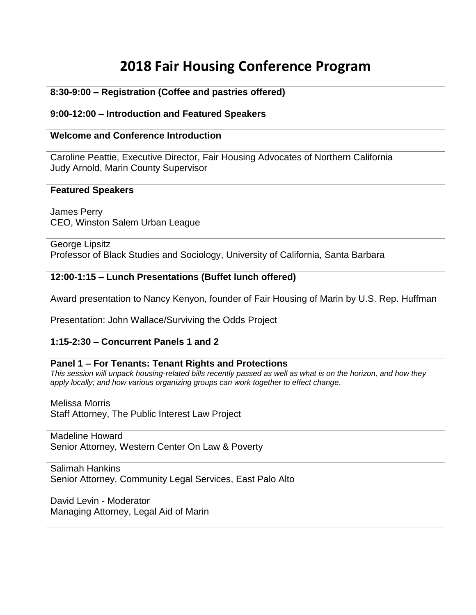# **2018 Fair Housing Conference Program**

# **8:30-9:00 – Registration (Coffee and pastries offered)**

# **9:00-12:00 – Introduction and Featured Speakers**

## **Welcome and Conference Introduction**

Caroline Peattie, Executive Director, Fair Housing Advocates of Northern California Judy Arnold, Marin County Supervisor

#### **Featured Speakers**

James Perry CEO, Winston Salem Urban League

George Lipsitz Professor of Black Studies and Sociology, University of California, Santa Barbara

#### **12:00-1:15 – Lunch Presentations (Buffet lunch offered)**

Award presentation to Nancy Kenyon, founder of Fair Housing of Marin by U.S. Rep. Huffman

Presentation: John Wallace/Surviving the Odds Project

# **1:15-2:30 – Concurrent Panels 1 and 2**

#### **Panel 1 – For Tenants: Tenant Rights and Protections**

*This session will unpack housing-related bills recently passed as well as what is on the horizon, and how they apply locally; and how various organizing groups can work together to effect change.*

Melissa Morris

Staff Attorney, The Public Interest Law Project

# Madeline Howard

Senior Attorney, Western Center On Law & Poverty

Salimah Hankins

Senior Attorney, Community Legal Services, East Palo Alto

David Levin - Moderator Managing Attorney, Legal Aid of Marin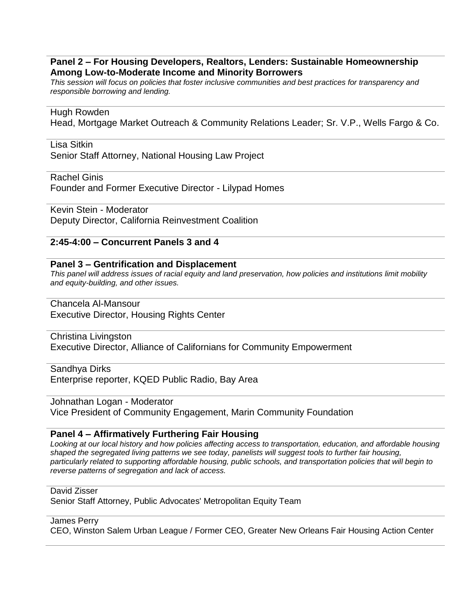### **Panel 2 – For Housing Developers, Realtors, Lenders: Sustainable Homeownership Among Low-to-Moderate Income and Minority Borrowers**

*This session will focus on policies that foster inclusive communities and best practices for transparency and responsible borrowing and lending.*

#### Hugh Rowden

Head, Mortgage Market Outreach & Community Relations Leader; Sr. V.P., Wells Fargo & Co.

#### Lisa Sitkin

Senior Staff Attorney, National Housing Law Project

Rachel Ginis

Founder and Former Executive Director - Lilypad Homes

Kevin Stein - Moderator Deputy Director, California Reinvestment Coalition

## **2:45-4:00 – Concurrent Panels 3 and 4**

#### **Panel 3 – Gentrification and Displacement**

*This panel will address issues of racial equity and land preservation, how policies and institutions limit mobility and equity-building, and other issues.*

Chancela Al-Mansour Executive Director, Housing Rights Center

Christina Livingston Executive Director, Alliance of Californians for Community Empowerment

Sandhya Dirks Enterprise reporter, KQED Public Radio, Bay Area

Johnathan Logan - Moderator Vice President of Community Engagement, Marin Community Foundation

#### **Panel 4 – Affirmatively Furthering Fair Housing**

*Looking at our local history and how policies affecting access to transportation, education, and affordable housing shaped the segregated living patterns we see today, panelists will suggest tools to further fair housing, particularly related to supporting affordable housing, public schools, and transportation policies that will begin to reverse patterns of segregation and lack of access.*

David Zisser

Senior Staff Attorney, Public Advocates' Metropolitan Equity Team

James Perry

CEO, Winston Salem Urban League / Former CEO, Greater New Orleans Fair Housing Action Center